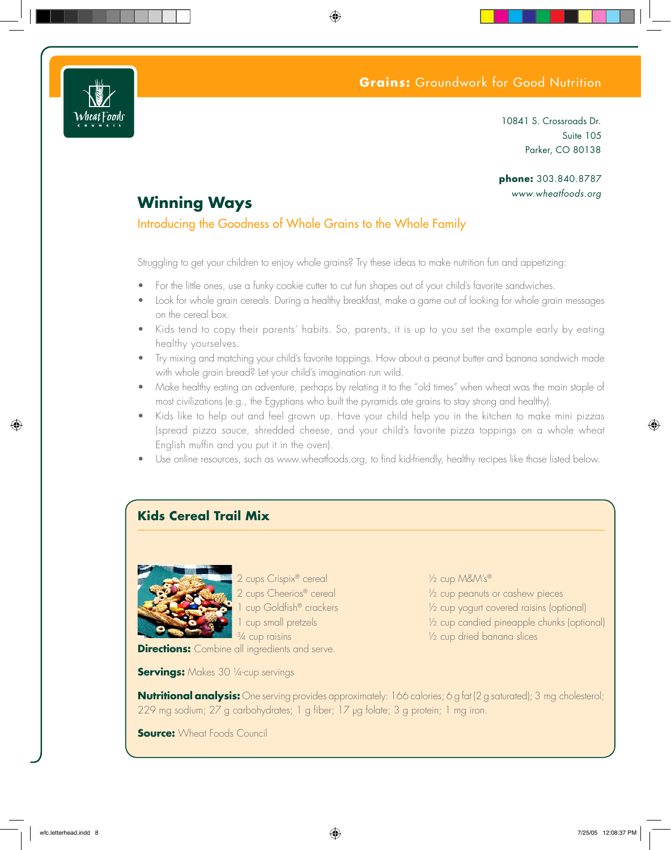## **Grains:** Groundwork for Good Nutrition



10841 S. Crossroads Dr. Suite 105 Parker, CO 80138

### phone: 303.840.8787 www.wheatfoods.org

# **Winning Ways**

### Introducing the Goodness of Whole Grains to the Whole Family

Struggling to get your children to enjoy whole grains? Try these ideas to make nutrition fun and appetizing:

- For the little ones, use a funky cookie cutter to cut fun shapes out of your child's favorite sandwiches.
- Look for whole grain cereals. During a healthy breakfast, make a game out of looking for whole grain messages  $\bullet$ on the cereal box.
- Kids tend to copy their parents' habits. So, parents, it is up to you set the example early by eating healthy yourselves.
- Try mixing and matching your child's favorite toppings. How about a peanut butter and banang sandwich made with whole grain bread? Let your child's imagination run wild.
- Make healthy eating an adventure, perhaps by relating it to the "old times" when wheat was the main staple of most civilizations (e.g., the Egyptians who built the pyramids ate grains to stay strong and healthy).
- Kids like to help out and feel grown up. Have your child help you in the kitchen to make mini pizzas (spread pizza sauce, shredded cheese, and your child's favorite pizza toppings on a whole wheat English muffin and you put it in the oven).
- Use online resources, such as www.wheatfoods.org, to find kid-friendly, healthy recipes like those listed below.

## **Kids Cereal Trail Mix**



2 cups Crispix<sup>®</sup> cereal 2 cups Cheerios<sup>®</sup> cereal 1 cup Goldfish® crackers I cup small pretzels  $\frac{3}{4}$  cup raisins

**Directions:** Combine all ingredients and serve.

**Servings:** Makes 30 1/4-cup servings

1/2 cup M&M's® 1/2 cup peanuts or cashew pieces 1/2 cup yogurt covered raisins (optional)

- 1/2 cup candied pineapple chunks (optional)
- 1/2 cup dried banana slices

**Nutritional analysis:** One serving provides approximately: 166 calories; 6 g fat (2 g saturated); 3 mg cholesterol; 229 mg sodium; 27 g carbohydrates; 1 g fiber; 17 µg folate; 3 g protein; 1 mg iron.

**Source:** Wheat Foods Council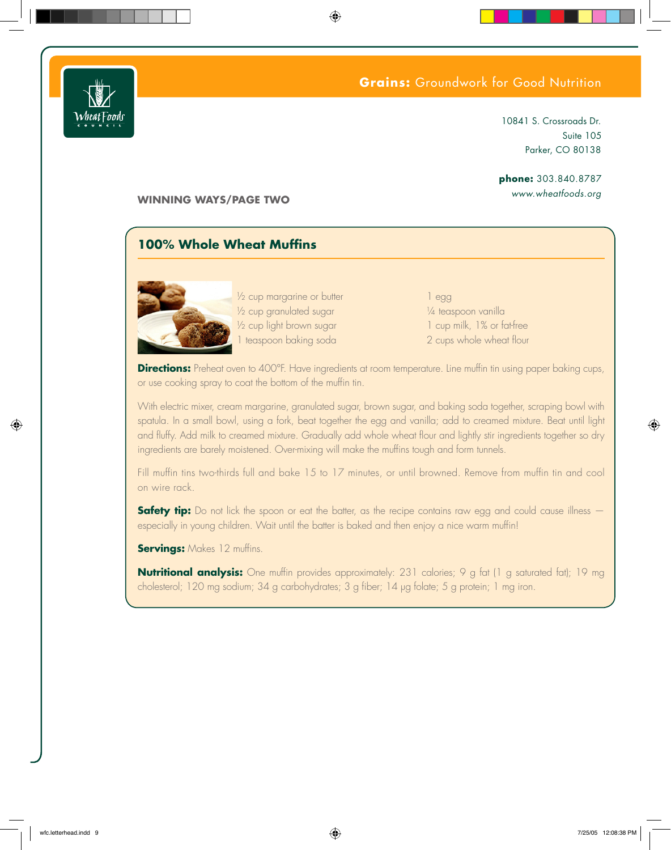



### 10841 S. Crossroads Dr. Suite 105 Parker, CO 80138

## phone: 303.840.8787

www.wheatfoods.org

**WINNING WAYS/PAGE TWO** 

## 100% Whole Wheat Muffins



1/2 cup margarine or butter 1/2 cup granulated sugar 1/2 cup light brown sugar 1 teaspoon baking soda

 $leq$ gg 1/4 teaspoon vanilla 1 cup milk, 1% or fat-free 2 cups whole wheat flour

**Directions:** Preheat oven to 400°F. Have ingredients at room temperature. Line muffin tin using paper baking cups, or use cooking spray to coat the bottom of the muffin tin.

With electric mixer, cream margarine, granulated sugar, brown sugar, and baking soda together, scraping bowl with spatula. In a small bowl, using a fork, beat together the egg and vanilla; add to creamed mixture. Beat until light and fluffy. Add milk to creamed mixture. Gradually add whole wheat flour and lightly stir ingredients together so dry ingredients are barely moistened. Over-mixing will make the muffins tough and form tunnels.

Fill muffin tins two-thirds full and bake 15 to 17 minutes, or until browned. Remove from muffin tin and cool on wire rack.

**Safety tip:** Do not lick the spoon or eat the batter, as the recipe contains raw egg and could cause illness – especially in young children. Wait until the batter is baked and then enjoy a nice warm muffin!

**Servings:** Makes 12 muffins.

**Nutritional analysis:** One muffin provides approximately: 231 calories; 9 g fat (1 g saturated fat); 19 mg cholesterol; 120 mg sodium; 34 g carbohydrates; 3 g fiber; 14 µg folate; 5 g protein; 1 mg iron.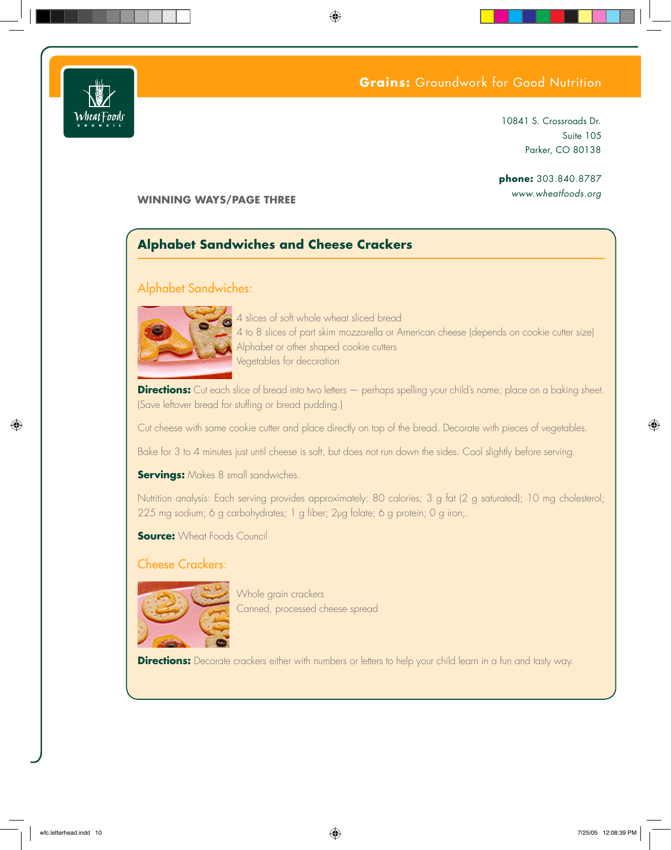



10841 S. Crossroads Dr. Suite 105 Parker, CO 80138

phone: 303.840.8787 www.wheatfoods.org

### **WINNING WAYS/PAGE THREE**

## **Alphabet Sandwiches and Cheese Crackers**

#### **Alphabet Sandwiches:**



4 slices of soft whole wheat sliced bread 4 to 8 slices of part skim mozzarella or American cheese (depends on cookie cutter size) Alphabet or other shaped cookie cutters Vegetables for decoration

**Directions:** Cut each slice of bread into two letters - perhaps spelling your child's name; place on a baking sheet. (Save leftover bread for stuffing or bread pudding.)

Cut cheese with same cookie cutter and place directly on top of the bread. Decorate with pieces of vegetables.

Bake for 3 to 4 minutes just until cheese is soft, but does not run down the sides. Cool slightly before serving.

**Servings:** Makes 8 small sandwiches.

Nutrition analysis: Each serving provides approximately: 80 calories; 3 g fat (2 g saturated); 10 mg cholesterol; 225 mg sodium; 6 g carbohydrates; 1 g fiber; 2µg folate; 6 g protein; 0 g iron;.

**Source:** Wheat Foods Council

**Cheese Crackers:** 



Whole grain crackers Canned, processed cheese spread

Directions: Decorate crackers either with numbers or letters to help your child learn in a fun and tasty way.